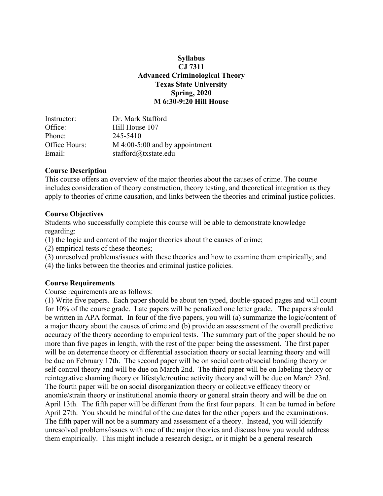#### **Syllabus CJ 7311 Advanced Criminological Theory Texas State University Spring, 2020 M 6:30-9:20 Hill House**

| Instructor:   | Dr. Mark Stafford                |
|---------------|----------------------------------|
| Office:       | Hill House 107                   |
| Phone:        | 245-5410                         |
| Office Hours: | $M$ 4:00-5:00 and by appointment |
| Email:        | stafford@txstate.edu             |

#### **Course Description**

This course offers an overview of the major theories about the causes of crime. The course includes consideration of theory construction, theory testing, and theoretical integration as they apply to theories of crime causation, and links between the theories and criminal justice policies.

### **Course Objectives**

Students who successfully complete this course will be able to demonstrate knowledge regarding:

(1) the logic and content of the major theories about the causes of crime;

(2) empirical tests of these theories;

(3) unresolved problems/issues with these theories and how to examine them empirically; and

(4) the links between the theories and criminal justice policies.

### **Course Requirements**

Course requirements are as follows:

(1) Write five papers. Each paper should be about ten typed, double-spaced pages and will count for 10% of the course grade. Late papers will be penalized one letter grade. The papers should be written in APA format. In four of the five papers, you will (a) summarize the logic/content of a major theory about the causes of crime and (b) provide an assessment of the overall predictive accuracy of the theory according to empirical tests. The summary part of the paper should be no more than five pages in length, with the rest of the paper being the assessment. The first paper will be on deterrence theory or differential association theory or social learning theory and will be due on February 17th. The second paper will be on social control/social bonding theory or self-control theory and will be due on March 2nd. The third paper will be on labeling theory or reintegrative shaming theory or lifestyle/routine activity theory and will be due on March 23rd. The fourth paper will be on social disorganization theory or collective efficacy theory or anomie/strain theory or institutional anomie theory or general strain theory and will be due on April 13th. The fifth paper will be different from the first four papers. It can be turned in before April 27th. You should be mindful of the due dates for the other papers and the examinations. The fifth paper will not be a summary and assessment of a theory. Instead, you will identify unresolved problems/issues with one of the major theories and discuss how you would address them empirically. This might include a research design, or it might be a general research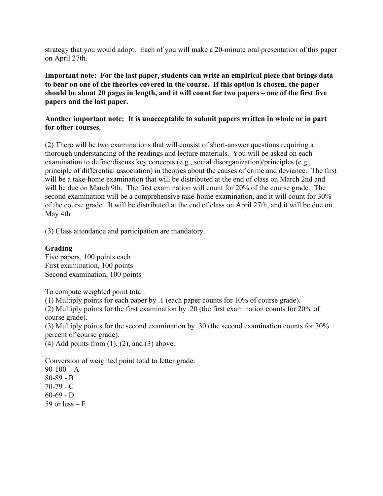strategy that you would adopt. Each of you will make a 20-minute oral presentation of this paper on April 27th.

**Important note: For the last paper, students can write an empirical piece that brings data to bear on one of the theories covered in the course. If this option is chosen, the paper should be about 20 pages in length, and it will count for two papers – one of the first five papers and the last paper.**

#### **Another important note: It is unacceptable to submit papers written in whole or in part for other courses.**

(2) There will be two examinations that will consist of short-answer questions requiring a thorough understanding of the readings and lecture materials. You will be asked on each examination to define/discuss key concepts (e.g., social disorganization)/principles (e.g., principle of differential association) in theories about the causes of crime and deviance. The first will be a take-home examination that will be distributed at the end of class on March 2nd and will be due on March 9th. The first examination will count for 20% of the course grade. The second examination will be a comprehensive take-home examination, and it will count for 30% of the course grade. It will be distributed at the end of class on April 27th, and it will be due on May 4th.

(3) Class attendance and participation are mandatory.

#### **Grading**

Five papers, 100 points each First examination, 100 points Second examination, 100 points

To compute weighted point total:

(1) Multiply points for each paper by .1 (each paper counts for 10% of course grade).

(2) Multiply points for the first examination by .20 (the first examination counts for 20% of course grade).

(3) Multiply points for the second examination by .30 (the second examination counts for 30% percent of course grade).

 $(4)$  Add points from  $(1)$ ,  $(2)$ , and  $(3)$  above.

Conversion of weighted point total to letter grade:

 $90-100 - A$ 80-89 - B 70-79 - C  $60-69 - D$ 59 or less  $- F$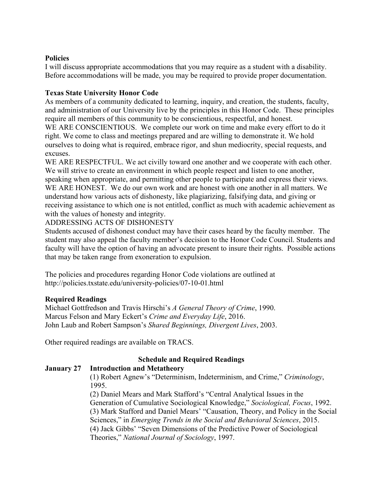#### **Policies**

I will discuss appropriate accommodations that you may require as a student with a disability. Before accommodations will be made, you may be required to provide proper documentation.

### **Texas State University Honor Code**

As members of a community dedicated to learning, inquiry, and creation, the students, faculty, and administration of our University live by the principles in this Honor Code. These principles require all members of this community to be conscientious, respectful, and honest. WE ARE CONSCIENTIOUS. We complete our work on time and make every effort to do it right. We come to class and meetings prepared and are willing to demonstrate it. We hold ourselves to doing what is required, embrace rigor, and shun mediocrity, special requests, and excuses.

WE ARE RESPECTFUL. We act civilly toward one another and we cooperate with each other. We will strive to create an environment in which people respect and listen to one another, speaking when appropriate, and permitting other people to participate and express their views. WE ARE HONEST. We do our own work and are honest with one another in all matters. We understand how various acts of dishonesty, like plagiarizing, falsifying data, and giving or receiving assistance to which one is not entitled, conflict as much with academic achievement as with the values of honesty and integrity.

### ADDRESSING ACTS OF DISHONESTY

Students accused of dishonest conduct may have their cases heard by the faculty member. The student may also appeal the faculty member's decision to the Honor Code Council. Students and faculty will have the option of having an advocate present to insure their rights. Possible actions that may be taken range from exoneration to expulsion.

The policies and procedures regarding Honor Code violations are outlined at http://policies.txstate.edu/university-policies/07-10-01.html

### **Required Readings**

Michael Gottfredson and Travis Hirschi's *A General Theory of Crime*, 1990. Marcus Felson and Mary Eckert's *Crime and Everyday Life*, 2016. John Laub and Robert Sampson's *Shared Beginnings, Divergent Lives*, 2003.

Other required readings are available on TRACS.

# **Schedule and Required Readings**

### **January 27 Introduction and Metatheory**

(1) Robert Agnew's "Determinism, Indeterminism, and Crime," *Criminology*, 1995.

(2) Daniel Mears and Mark Stafford's "Central Analytical Issues in the Generation of Cumulative Sociological Knowledge," *Sociological, Focus*, 1992. (3) Mark Stafford and Daniel Mears' "Causation, Theory, and Policy in the Social Sciences," in *Emerging Trends in the Social and Behavioral Sciences*, 2015. (4) Jack Gibbs' "Seven Dimensions of the Predictive Power of Sociological Theories," *National Journal of Sociology*, 1997.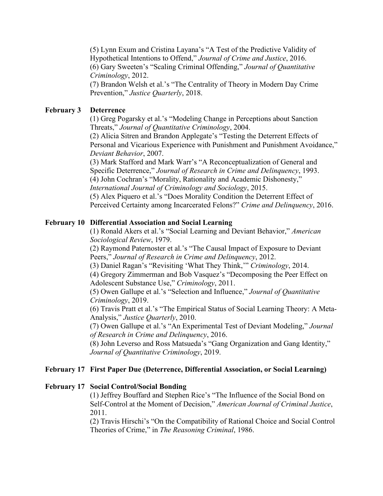(5) Lynn Exum and Cristina Layana's "A Test of the Predictive Validity of Hypothetical Intentions to Offend," *Journal of Crime and Justice*, 2016. (6) Gary Sweeten's "Scaling Criminal Offending," *Journal of Quantitative Criminology*, 2012.

(7) Brandon Welsh et al.'s "The Centrality of Theory in Modern Day Crime Prevention," *Justice Quarterly*, 2018.

### **February 3 Deterrence**

(1) Greg Pogarsky et al.'s "Modeling Change in Perceptions about Sanction Threats," *Journal of Quantitative Criminology*, 2004.

(2) Alicia Sitren and Brandon Applegate's "Testing the Deterrent Effects of Personal and Vicarious Experience with Punishment and Punishment Avoidance," *Deviant Behavior*, 2007.

(3) Mark Stafford and Mark Warr's "A Reconceptualization of General and Specific Deterrence," *Journal of Research in Crime and Delinquency*, 1993. (4) John Cochran's "Morality, Rationality and Academic Dishonesty," *International Journal of Criminology and Sociology*, 2015.

(5) Alex Piquero et al.'s "Does Morality Condition the Deterrent Effect of Perceived Certainty among Incarcerated Felons?" *Crime and Delinquency*, 2016.

## **February 10 Differential Association and Social Learning**

(1) Ronald Akers et al.'s "Social Learning and Deviant Behavior," *American Sociological Review*, 1979.

(2) Raymond Paternoster et al.'s "The Causal Impact of Exposure to Deviant Peers," *Journal of Research in Crime and Delinquency*, 2012.

(3) Daniel Ragan's "Revisiting 'What They Think,'" *Criminology*, 2014.

(4) Gregory Zimmerman and Bob Vasquez's "Decomposing the Peer Effect on Adolescent Substance Use," *Criminology*, 2011.

(5) Owen Gallupe et al.'s "Selection and Influence," *Journal of Quantitative Criminology*, 2019.

(6) Travis Pratt et al.'s "The Empirical Status of Social Learning Theory: A Meta-Analysis," *Justice Quarterly*, 2010.

(7) Owen Gallupe et al.'s "An Experimental Test of Deviant Modeling," *Journal of Research in Crime and Delinquency*, 2016.

(8) John Leverso and Ross Matsueda's "Gang Organization and Gang Identity," *Journal of Quantitative Criminology*, 2019.

# **February 17 First Paper Due (Deterrence, Differential Association, or Social Learning)**

### **February 17 Social Control/Social Bonding**

(1) Jeffrey Bouffard and Stephen Rice's "The Influence of the Social Bond on Self-Control at the Moment of Decision," *American Journal of Criminal Justice*, 2011.

(2) Travis Hirschi's "On the Compatibility of Rational Choice and Social Control Theories of Crime," in *The Reasoning Criminal*, 1986.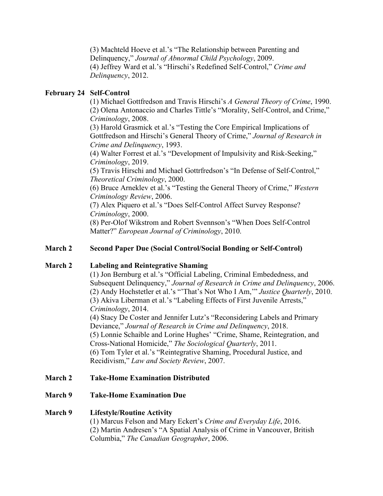(3) Machteld Hoeve et al.'s "The Relationship between Parenting and Delinquency," *Journal of Abnormal Child Psychology*, 2009. (4) Jeffrey Ward et al.'s "Hirschi's Redefined Self-Control," *Crime and Delinquency*, 2012.

## **February 24 Self-Control**

(1) Michael Gottfredson and Travis Hirschi's *A General Theory of Crime*, 1990. (2) Olena Antonaccio and Charles Tittle's "Morality, Self-Control, and Crime," *Criminology*, 2008.

(3) Harold Grasmick et al.'s "Testing the Core Empirical Implications of Gottfredson and Hirschi's General Theory of Crime," *Journal of Research in Crime and Delinquency*, 1993.

(4) Walter Forrest et al.'s "Development of Impulsivity and Risk-Seeking," *Criminology*, 2019.

(5) Travis Hirschi and Michael Gottrfredson's "In Defense of Self-Control," *Theoretical Criminology*, 2000.

(6) Bruce Arneklev et al.'s "Testing the General Theory of Crime," *Western Criminology Review*, 2006.

(7) Alex Piquero et al.'s "Does Self-Control Affect Survey Response? *Criminology*, 2000.

(8) Per-Olof Wikstrom and Robert Svennson's "When Does Self-Control Matter?" *European Journal of Criminology*, 2010.

### **March 2 Second Paper Due (Social Control/Social Bonding or Self-Control)**

### **March 2 Labeling and Reintegrative Shaming**

(1) Jon Bernburg et al.'s "Official Labeling, Criminal Embededness, and Subsequent Delinquency," *Journal of Research in Crime and Delinquency*, 2006. (2) Andy Hochstetler et al.'s "'That's Not Who I Am,'" *Justice Quarterly*, 2010. (3) Akiva Liberman et al.'s "Labeling Effects of First Juvenile Arrests," *Criminology*, 2014.

(4) Stacy De Coster and Jennifer Lutz's "Reconsidering Labels and Primary Deviance," *Journal of Research in Crime and Delinquency*, 2018. (5) Lonnie Schaible and Lorine Hughes' "Crime, Shame, Reintegration, and Cross-National Homicide," *The Sociological Quarterly*, 2011. (6) Tom Tyler et al.'s "Reintegrative Shaming, Procedural Justice, and Recidivism," *Law and Society Review*, 2007.

### **March 2 Take-Home Examination Distributed**

### **March 9 Take-Home Examination Due**

# **March 9 Lifestyle/Routine Activity**

(1) Marcus Felson and Mary Eckert's *Crime and Everyday Life*, 2016. (2) Martin Andresen's "A Spatial Analysis of Crime in Vancouver, British Columbia," *The Canadian Geographer*, 2006.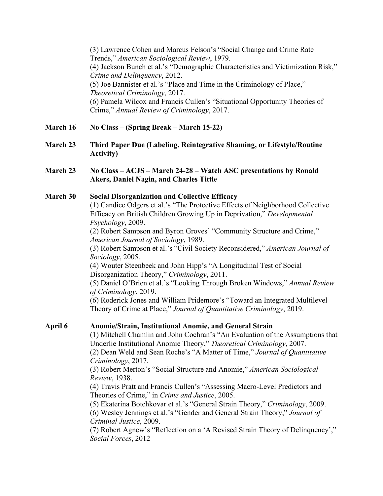(3) Lawrence Cohen and Marcus Felson's "Social Change and Crime Rate Trends," *American Sociological Review*, 1979. (4) Jackson Bunch et al.'s "Demographic Characteristics and Victimization Risk," *Crime and Delinquency*, 2012. (5) Joe Bannister et al.'s "Place and Time in the Criminology of Place," *Theoretical Criminology*, 2017. (6) Pamela Wilcox and Francis Cullen's "Situational Opportunity Theories of Crime," *Annual Review of Criminology*, 2017.

- **March 16 No Class – (Spring Break – March 15-22)**
- **March 23 Third Paper Due (Labeling, Reintegrative Shaming, or Lifestyle/Routine Activity)**
- **March 23 No Class – ACJS – March 24-28 – Watch ASC presentations by Ronald Akers, Daniel Nagin, and Charles Tittle**
- **March 30 Social Disorganization and Collective Efficacy** (1) Candice Odgers et al.'s "The Protective Effects of Neighborhood Collective Efficacy on British Children Growing Up in Deprivation," *Developmental Psychology*, 2009.

(2) Robert Sampson and Byron Groves' "Community Structure and Crime," *American Journal of Sociology*, 1989.

(3) Robert Sampson et al.'s "Civil Society Reconsidered," *American Journal of Sociology*, 2005.

(4) Wouter Steenbeek and John Hipp's "A Longitudinal Test of Social Disorganization Theory," *Criminology*, 2011.

(5) Daniel O'Brien et al.'s "Looking Through Broken Windows," *Annual Review of Criminology*, 2019.

(6) Roderick Jones and William Pridemore's "Toward an Integrated Multilevel Theory of Crime at Place," *Journal of Quantitative Criminology*, 2019.

**April 6 Anomie/Strain, Institutional Anomie, and General Strain**

(1) Mitchell Chamlin and John Cochran's "An Evaluation of the Assumptions that Underlie Institutional Anomie Theory," *Theoretical Criminology*, 2007.

(2) Dean Weld and Sean Roche's "A Matter of Time," *Journal of Quantitative Criminology*, 2017.

(3) Robert Merton's "Social Structure and Anomie," *American Sociological Review*, 1938.

(4) Travis Pratt and Francis Cullen's "Assessing Macro-Level Predictors and Theories of Crime," in *Crime and Justice*, 2005.

(5) Ekaterina Botchkovar et al.'s "General Strain Theory," *Criminology*, 2009.

(6) Wesley Jennings et al.'s "Gender and General Strain Theory," *Journal of Criminal Justice*, 2009.

(7) Robert Agnew's "Reflection on a 'A Revised Strain Theory of Delinquency'," *Social Forces*, 2012